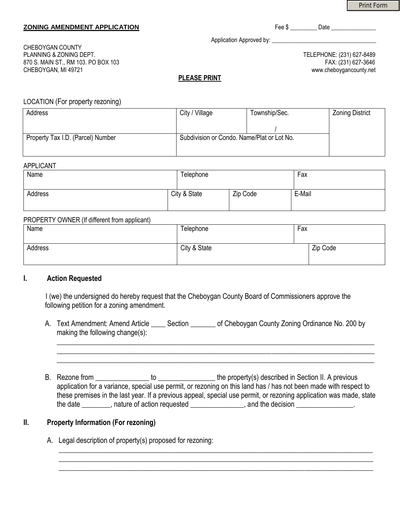Print Form

#### **ZONING AMENDMENT APPLICATION**  The state of the state of the state of the state of the state of the state of the state of the state of the state of the state of the state of the state of the state of the state of the stat

Application Approved by: \_\_\_\_\_\_\_\_\_\_\_\_\_\_\_\_\_\_\_\_\_\_\_\_\_\_\_\_\_\_\_\_\_\_\_

CHEBOYGAN COUNTY PLANNING & ZONING DEPT. TELEPHONE: (231) 627-8489 870 S. MAIN ST., RM 103. PO BOX 103 FAX: (231) 627-3646 CHEBOYGAN, MI 49721 www.cheboygancounty.net

## **PLEASE PRINT**

### LOCATION (For property rezoning)

| Address                           | City / Village                             | Township/Sec. | <b>Zoning District</b> |
|-----------------------------------|--------------------------------------------|---------------|------------------------|
|                                   |                                            |               |                        |
| Property Tax I.D. (Parcel) Number | Subdivision or Condo. Name/Plat or Lot No. |               |                        |
|                                   |                                            |               |                        |

### APPLICANT

| Name    | Telephone    |          | Fax    |
|---------|--------------|----------|--------|
| Address | City & State | Zip Code | E-Mail |

## PROPERTY OWNER (If different from applicant)

| Name    | Telephone    | Fax      |
|---------|--------------|----------|
| Address | City & State | Zip Code |

#### **I. Action Requested**

I (we) the undersigned do hereby request that the Cheboygan County Board of Commissioners approve the following petition for a zoning amendment.

A. Text Amendment: Amend Article Section of Cheboygan County Zoning Ordinance No. 200 by making the following change(s):  $\_$  , and the set of the set of the set of the set of the set of the set of the set of the set of the set of the set of the set of the set of the set of the set of the set of the set of the set of the set of the set of th

B. Rezone from \_\_\_\_\_\_\_\_\_\_\_\_\_\_\_ to \_\_\_\_\_\_\_\_\_\_\_\_\_\_\_\_ the property(s) described in Section II. A previous application for a variance, special use permit, or rezoning on this land has / has not been made with respect to these premises in the last year. If a previous appeal, special use permit, or rezoning application was made, state the date \_\_\_\_\_\_\_\_, nature of action requested \_\_\_\_\_\_\_\_\_\_\_\_\_, and the decision \_\_\_\_\_\_\_\_\_\_\_\_\_.

\_\_\_\_\_\_\_\_\_\_\_\_\_\_\_\_\_\_\_\_\_\_\_\_\_\_\_\_\_\_\_\_\_\_\_\_\_\_\_\_\_\_\_\_\_\_\_\_\_\_\_\_\_\_\_\_\_\_\_\_\_\_\_\_\_\_\_\_\_\_\_\_\_\_\_\_\_\_\_\_\_\_\_\_\_\_\_\_ \_\_\_\_\_\_\_\_\_\_\_\_\_\_\_\_\_\_\_\_\_\_\_\_\_\_\_\_\_\_\_\_\_\_\_\_\_\_\_\_\_\_\_\_\_\_\_\_\_\_\_\_\_\_\_\_\_\_\_\_\_\_\_\_\_\_\_\_\_\_\_\_\_\_\_\_\_\_\_\_\_\_\_\_\_\_\_\_  $\_$  , and the set of the set of the set of the set of the set of the set of the set of the set of the set of the set of the set of the set of the set of the set of the set of the set of the set of the set of the set of th

\_\_\_\_\_\_\_\_\_\_\_\_\_\_\_\_\_\_\_\_\_\_\_\_\_\_\_\_\_\_\_\_\_\_\_\_\_\_\_\_\_\_\_\_\_\_\_\_\_\_\_\_\_\_\_\_\_\_\_\_\_\_\_\_\_\_\_\_\_\_\_\_\_\_\_\_\_\_\_\_\_\_\_\_\_\_\_\_\_

## **II. Property Information (For rezoning)**

A. Legal description of property(s) proposed for rezoning: